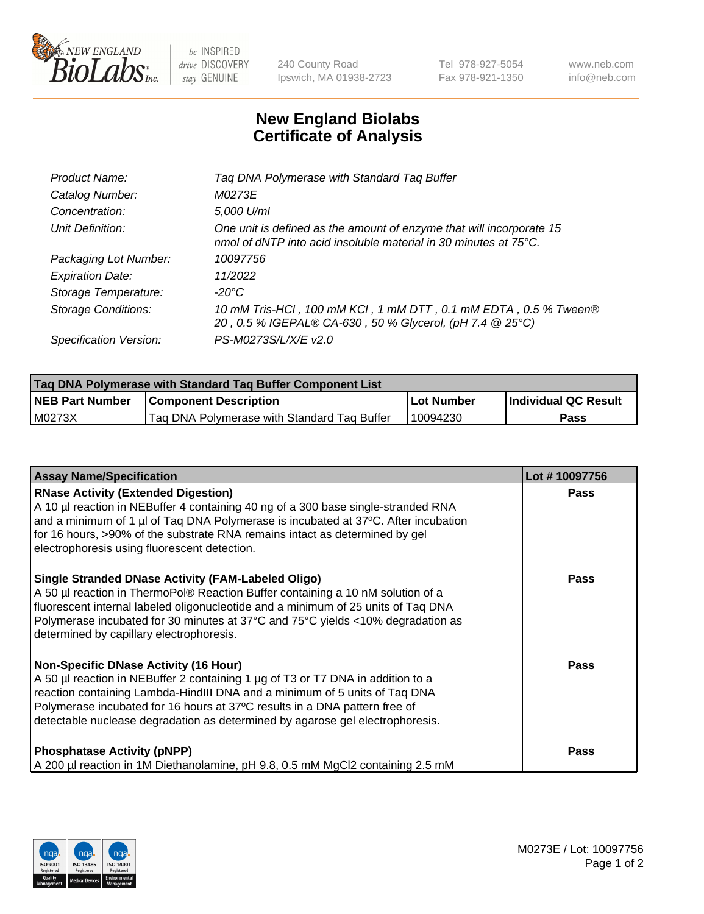

 $be$  INSPIRED drive DISCOVERY stay GENUINE

240 County Road Ipswich, MA 01938-2723 Tel 978-927-5054 Fax 978-921-1350 www.neb.com info@neb.com

## **New England Biolabs Certificate of Analysis**

| Product Name:              | Tag DNA Polymerase with Standard Tag Buffer                                                                                              |
|----------------------------|------------------------------------------------------------------------------------------------------------------------------------------|
| Catalog Number:            | M0273E                                                                                                                                   |
| Concentration:             | 5,000 U/ml                                                                                                                               |
| Unit Definition:           | One unit is defined as the amount of enzyme that will incorporate 15<br>nmol of dNTP into acid insoluble material in 30 minutes at 75°C. |
| Packaging Lot Number:      | 10097756                                                                                                                                 |
| <b>Expiration Date:</b>    | 11/2022                                                                                                                                  |
| Storage Temperature:       | $-20^{\circ}$ C                                                                                                                          |
| <b>Storage Conditions:</b> | 10 mM Tris-HCl, 100 mM KCl, 1 mM DTT, 0.1 mM EDTA, 0.5 % Tween®<br>20, 0.5 % IGEPAL® CA-630, 50 % Glycerol, (pH 7.4 @ 25°C)              |
| Specification Version:     | PS-M0273S/L/X/E v2.0                                                                                                                     |

| Tag DNA Polymerase with Standard Tag Buffer Component List |                                             |              |                      |  |
|------------------------------------------------------------|---------------------------------------------|--------------|----------------------|--|
| <b>NEB Part Number</b>                                     | <b>Component Description</b>                | l Lot Number | Individual QC Result |  |
| M0273X                                                     | Tag DNA Polymerase with Standard Tag Buffer | 10094230     | Pass                 |  |

| <b>Assay Name/Specification</b>                                                                                                                                                                                                                                                                                                                                              | Lot #10097756 |
|------------------------------------------------------------------------------------------------------------------------------------------------------------------------------------------------------------------------------------------------------------------------------------------------------------------------------------------------------------------------------|---------------|
| <b>RNase Activity (Extended Digestion)</b><br>A 10 µl reaction in NEBuffer 4 containing 40 ng of a 300 base single-stranded RNA<br>and a minimum of 1 µl of Taq DNA Polymerase is incubated at 37°C. After incubation<br>for 16 hours, >90% of the substrate RNA remains intact as determined by gel<br>electrophoresis using fluorescent detection.                         | <b>Pass</b>   |
| <b>Single Stranded DNase Activity (FAM-Labeled Oligo)</b><br>A 50 µl reaction in ThermoPol® Reaction Buffer containing a 10 nM solution of a<br>fluorescent internal labeled oligonucleotide and a minimum of 25 units of Taq DNA<br>Polymerase incubated for 30 minutes at 37°C and 75°C yields <10% degradation as<br>determined by capillary electrophoresis.             | <b>Pass</b>   |
| <b>Non-Specific DNase Activity (16 Hour)</b><br>A 50 µl reaction in NEBuffer 2 containing 1 µg of T3 or T7 DNA in addition to a<br>reaction containing Lambda-HindIII DNA and a minimum of 5 units of Taq DNA<br>Polymerase incubated for 16 hours at 37°C results in a DNA pattern free of<br>detectable nuclease degradation as determined by agarose gel electrophoresis. | Pass          |
| <b>Phosphatase Activity (pNPP)</b><br>A 200 µl reaction in 1M Diethanolamine, pH 9.8, 0.5 mM MgCl2 containing 2.5 mM                                                                                                                                                                                                                                                         | <b>Pass</b>   |